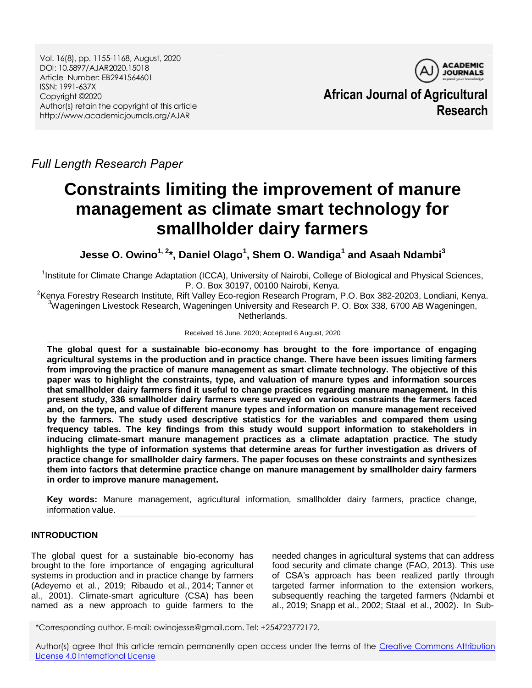Vol. 16(8), pp. 1155-1168, August, 2020 DOI: 10.5897/AJAR2020.15018 Article Number: EB2941564601 ISSN: 1991-637X Copyright ©2020 Author(s) retain the copyright of this article http://www.academicjournals.org/AJAR

**ACADEMIC JOURNALS African Journal of Agricultural Research**

# *Full Length Research Paper*

# **Constraints limiting the improvement of manure management as climate smart technology for smallholder dairy farmers**

**Jesse O. Owino1, 2\*, Daniel Olago<sup>1</sup> , Shem O. Wandiga<sup>1</sup> and Asaah Ndambi<sup>3</sup>**

<sup>1</sup>Institute for Climate Change Adaptation (ICCA), University of Nairobi, College of Biological and Physical Sciences, P. O. Box 30197, 00100 Nairobi, Kenya.

<sup>2</sup>Kenya Forestry Research Institute, Rift Valley Eco-region Research Program, P.O. Box 382-20203, Londiani, Kenya.  $3$ Wageningen Livestock Research, Wageningen University and Research P. O. Box 338, 6700 AB Wageningen, Netherlands.

#### Received 16 June, 2020; Accepted 6 August, 2020

**The global quest for a sustainable bio-economy has brought to the fore importance of engaging agricultural systems in the production and in practice change. There have been issues limiting farmers from improving the practice of manure management as smart climate technology. The objective of this paper was to highlight the constraints, type, and valuation of manure types and information sources that smallholder dairy farmers find it useful to change practices regarding manure management. In this present study, 336 smallholder dairy farmers were surveyed on various constraints the farmers faced and, on the type, and value of different manure types and information on manure management received by the farmers. The study used descriptive statistics for the variables and compared them using frequency tables. The key findings from this study would support information to stakeholders in inducing climate-smart manure management practices as a climate adaptation practice. The study highlights the type of information systems that determine areas for further investigation as drivers of practice change for smallholder dairy farmers. The paper focuses on these constraints and synthesizes them into factors that determine practice change on manure management by smallholder dairy farmers in order to improve manure management.**

**Key words:** Manure management, agricultural information, smallholder dairy farmers, practice change, information value.

# **INTRODUCTION**

The global quest for a sustainable bio-economy has brought to the fore importance of engaging agricultural systems in production and in practice change by farmers (Adeyemo et al., 2019; Ribaudo et al., 2014; Tanner et al., 2001). Climate-smart agriculture (CSA) has been named as a new approach to guide farmers to the

needed changes in agricultural systems that can address food security and climate change (FAO, 2013). This use of CSA's approach has been realized partly through targeted farmer information to the extension workers, subsequently reaching the targeted farmers (Ndambi et al., 2019; Snapp et al., 2002; Staal et al., 2002). In Sub-

\*Corresponding author. E-mail: owinojesse@gmail.com. Tel: +254723772172.

Author(s) agree that this article remain permanently open access under the terms of the [Creative Commons Attribution](http://creativecommons.org/licenses/by/4.0/deed.en_US)  [License 4.0 International License](http://creativecommons.org/licenses/by/4.0/deed.en_US)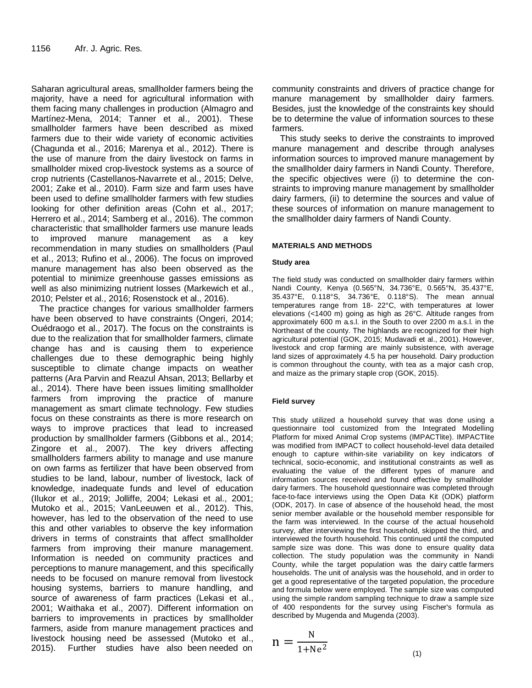Saharan agricultural areas, smallholder farmers being the majority, have a need for agricultural information with them facing many challenges in production (Almagro and Martínez-Mena, 2014; Tanner et al., 2001). These smallholder farmers have been described as mixed farmers due to their wide variety of economic activities (Chagunda et al., 2016; Marenya et al., 2012). There is the use of manure from the dairy livestock on farms in smallholder mixed crop-livestock systems as a source of crop nutrients (Castellanos-Navarrete et al., 2015; Delve, 2001; Zake et al., 2010). Farm size and farm uses have been used to define smallholder farmers with few studies looking for other definition areas (Cohn et al., 2017; Herrero et al., 2014; Samberg et al., 2016). The common characteristic that smallholder farmers use manure leads to improved manure management as a key recommendation in many studies on smallholders (Paul et al., 2013; Rufino et al., 2006). The focus on improved manure management has also been observed as the potential to minimize greenhouse gasses emissions as well as also minimizing nutrient losses (Markewich et al., 2010; Pelster et al., 2016; Rosenstock et al., 2016).

The practice changes for various smallholder farmers have been observed to have constraints (Ongeri, 2014; Ouédraogo et al., 2017). The focus on the constraints is due to the realization that for smallholder farmers, climate change has and is causing them to experience challenges due to these demographic being highly susceptible to climate change impacts on weather patterns (Ara Parvin and Reazul Ahsan, 2013; Bellarby et al., 2014). There have been issues limiting smallholder farmers from improving the practice of manure management as smart climate technology. Few studies focus on these constraints as there is more research on ways to improve practices that lead to increased production by smallholder farmers (Gibbons et al., 2014; Zingore et al., 2007). The key drivers affecting smallholders farmers ability to manage and use manure on own farms as fertilizer that have been observed from studies to be land, labour, number of livestock, lack of knowledge, inadequate funds and level of education (Ilukor et al., 2019; Jolliffe, 2004; Lekasi et al., 2001; Mutoko et al., 2015; VanLeeuwen et al., 2012). This, however, has led to the observation of the need to use this and other variables to observe the key information drivers in terms of constraints that affect smallholder farmers from improving their manure management. Information is needed on community practices and perceptions to manure management, and this specifically needs to be focused on manure removal from livestock housing systems, barriers to manure handling, and source of awareness of farm practices (Lekasi et al., 2001; Waithaka et al., 2007). Different information on barriers to improvements in practices by smallholder farmers, aside from manure management practices and livestock housing need be assessed (Mutoko et al., 2015). Further studies have also been needed on

community constraints and drivers of practice change for manure management by smallholder dairy farmers. Besides, just the knowledge of the constraints key should be to determine the value of information sources to these farmers.

This study seeks to derive the constraints to improved manure management and describe through analyses information sources to improved manure management by the smallholder dairy farmers in Nandi County. Therefore, the specific objectives were (i) to determine the constraints to improving manure management by smallholder dairy farmers, (ii) to determine the sources and value of these sources of information on manure management to the smallholder dairy farmers of Nandi County.

### **MATERIALS AND METHODS**

#### **Study area**

The field study was conducted on smallholder dairy farmers within Nandi County, Kenya (0.565°N, 34.736°E, 0.565°N, 35.437°E, 35.437°E, 0.118°S, 34.736°E, 0.118°S). The mean annual temperatures range from 18- 22°C, with temperatures at lower elevations (<1400 m) going as high as 26°C. Altitude ranges from approximately 600 m a.s.l. in the South to over 2200 m a.s.l. in the Northeast of the county. The highlands are recognized for their high agricultural potential (GOK, 2015; Mudavadi et al., 2001). However, livestock and crop farming are mainly subsistence, with average land sizes of approximately 4.5 ha per household. Dairy production is common throughout the county, with tea as a major cash crop, and maize as the primary staple crop (GOK, 2015).

#### **Field survey**

This study utilized a household survey that was done using a questionnaire tool customized from the Integrated Modelling Platform for mixed Animal Crop systems (IMPACTlite). IMPACTlite was modified from IMPACT to collect household-level data detailed enough to capture within-site variability on key indicators of technical, socio-economic, and institutional constraints as well as evaluating the value of the different types of manure and information sources received and found effective by smallholder dairy farmers. The household questionnaire was completed through face-to-face interviews using the Open Data Kit (ODK) platform (ODK, 2017). In case of absence of the household head, the most senior member available or the household member responsible for the farm was interviewed. In the course of the actual household survey, after interviewing the first household, skipped the third, and interviewed the fourth household. This continued until the computed sample size was done. This was done to ensure quality data collection. The study population was the community in Nandi County, while the target population was the dairy cattle farmers households. The unit of analysis was the household, and in order to get a good representative of the targeted population, the procedure and formula below were employed. The sample size was computed using the simple random sampling technique to draw a sample size of 400 respondents for the survey using Fischer's formula as described by Mugenda and Mugenda (2003).

$$
n = \frac{N}{1 + Ne^2}
$$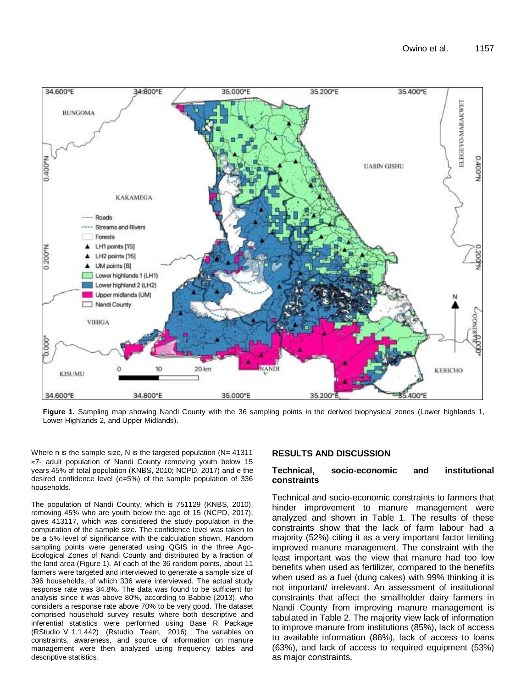

**Figure 1.** Sampling map showing Nandi County with the 36 sampling points in the derived biophysical zones (Lower highlands 1, Lower Highlands 2, and Upper Midlands).

Where n is the sample size, N is the targeted population (N= 41311)  $\approx$ 7- adult population of Nandi County removing youth below 15 years 45% of total population (KNBS, 2010; NCPD, 2017) and e the desired confidence level (e=5%) of the sample population of 336 households.

The population of Nandi County, which is 751129 (KNBS, 2010), removing 45% who are youth below the age of 15 (NCPD, 2017), gives 413117, which was considered the study population in the computation of the sample size. The confidence level was taken to be a 5% level of significance with the calculation shown. Random sampling points were generated using QGIS in the three Ago-Ecological Zones of Nandi County and distributed by a fraction of the land area (Figure 1). At each of the 36 random points, about 11 farmers were targeted and interviewed to generate a sample size of 396 households, of which 336 were interviewed. The actual study response rate was 84.8%. The data was found to be sufficient for analysis since it was above 80%, according to Babbie (2013), who considers a response rate above 70% to be very good. The dataset comprised household survey results where both descriptive and inferential statistics were performed using Base R Package (RStudio V 1.1.442) (Rstudio Team, 2016). The variables on constraints, awareness, and source of information on manure management were then analyzed using frequency tables and descriptive statistics.

# **RESULTS AND DISCUSSION**

### **Technical, socio-economic and institutional constraints**

Technical and socio-economic constraints to farmers that hinder improvement to manure management were analyzed and shown in Table 1. The results of these constraints show that the lack of farm labour had a majority (52%) citing it as a very important factor limiting improved manure management. The constraint with the least important was the view that manure had too low benefits when used as fertilizer, compared to the benefits when used as a fuel (dung cakes) with 99% thinking it is not important/ irrelevant. An assessment of institutional constraints that affect the smallholder dairy farmers in Nandi County from improving manure management is tabulated in Table 2. The majority view lack of information to improve manure from institutions (85%), lack of access to available information (86%), lack of access to loans (63%), and lack of access to required equipment (53%) as major constraints.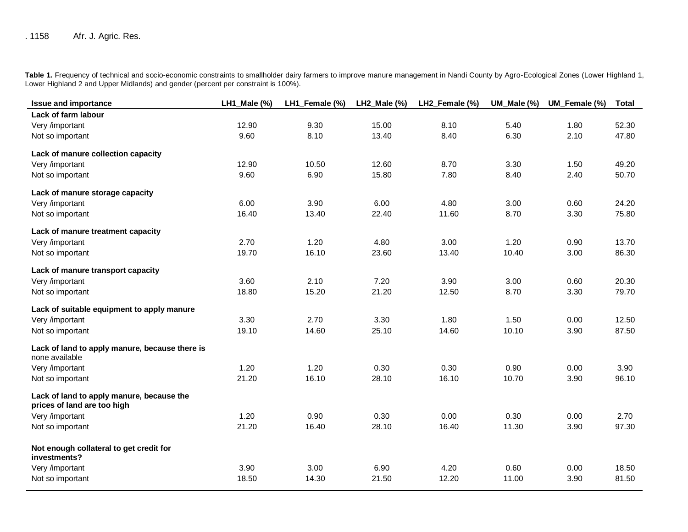Table 1. Frequency of technical and socio-economic constraints to smallholder dairy farmers to improve manure management in Nandi County by Agro-Ecological Zones (Lower Highland 1, Lower Highland 2 and Upper Midlands) and gender (percent per constraint is 100%).

| <b>Issue and importance</b>                                              | LH1_Male (%) | LH1_Female (%) | LH2_Male (%) | LH2_Female (%) | UM_Male (%) | UM_Female (%) | <b>Total</b> |
|--------------------------------------------------------------------------|--------------|----------------|--------------|----------------|-------------|---------------|--------------|
| Lack of farm labour                                                      |              |                |              |                |             |               |              |
| Very /important                                                          | 12.90        | 9.30           | 15.00        | 8.10           | 5.40        | 1.80          | 52.30        |
| Not so important                                                         | 9.60         | 8.10           | 13.40        | 8.40           | 6.30        | 2.10          | 47.80        |
| Lack of manure collection capacity                                       |              |                |              |                |             |               |              |
| Very /important                                                          | 12.90        | 10.50          | 12.60        | 8.70           | 3.30        | 1.50          | 49.20        |
| Not so important                                                         | 9.60         | 6.90           | 15.80        | 7.80           | 8.40        | 2.40          | 50.70        |
| Lack of manure storage capacity                                          |              |                |              |                |             |               |              |
| Very /important                                                          | 6.00         | 3.90           | 6.00         | 4.80           | 3.00        | 0.60          | 24.20        |
| Not so important                                                         | 16.40        | 13.40          | 22.40        | 11.60          | 8.70        | 3.30          | 75.80        |
| Lack of manure treatment capacity                                        |              |                |              |                |             |               |              |
| Very /important                                                          | 2.70         | 1.20           | 4.80         | 3.00           | 1.20        | 0.90          | 13.70        |
| Not so important                                                         | 19.70        | 16.10          | 23.60        | 13.40          | 10.40       | 3.00          | 86.30        |
| Lack of manure transport capacity                                        |              |                |              |                |             |               |              |
| Very /important                                                          | 3.60         | 2.10           | 7.20         | 3.90           | 3.00        | 0.60          | 20.30        |
| Not so important                                                         | 18.80        | 15.20          | 21.20        | 12.50          | 8.70        | 3.30          | 79.70        |
| Lack of suitable equipment to apply manure                               |              |                |              |                |             |               |              |
| Very /important                                                          | 3.30         | 2.70           | 3.30         | 1.80           | 1.50        | 0.00          | 12.50        |
| Not so important                                                         | 19.10        | 14.60          | 25.10        | 14.60          | 10.10       | 3.90          | 87.50        |
| Lack of land to apply manure, because there is<br>none available         |              |                |              |                |             |               |              |
| Very /important                                                          | 1.20         | 1.20           | 0.30         | 0.30           | 0.90        | 0.00          | 3.90         |
| Not so important                                                         | 21.20        | 16.10          | 28.10        | 16.10          | 10.70       | 3.90          | 96.10        |
| Lack of land to apply manure, because the<br>prices of land are too high |              |                |              |                |             |               |              |
| Very /important                                                          | 1.20         | 0.90           | 0.30         | 0.00           | 0.30        | 0.00          | 2.70         |
| Not so important                                                         | 21.20        | 16.40          | 28.10        | 16.40          | 11.30       | 3.90          | 97.30        |
| Not enough collateral to get credit for<br>investments?                  |              |                |              |                |             |               |              |
| Very /important                                                          | 3.90         | 3.00           | 6.90         | 4.20           | 0.60        | 0.00          | 18.50        |
| Not so important                                                         | 18.50        | 14.30          | 21.50        | 12.20          | 11.00       | 3.90          | 81.50        |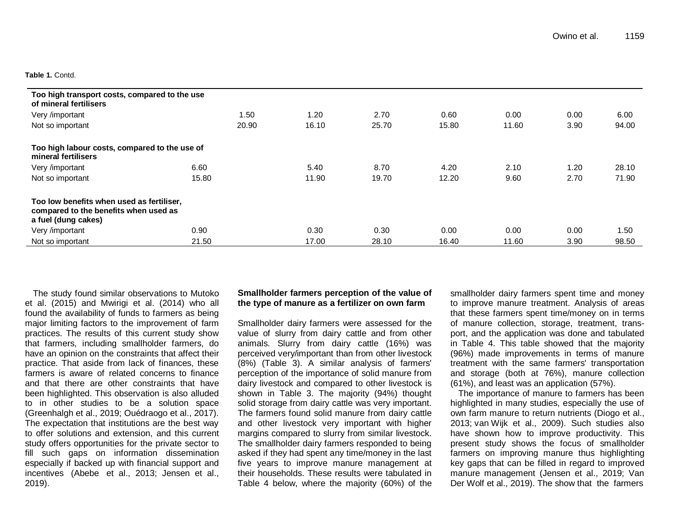#### **Table 1.** Contd.

| Too high transport costs, compared to the use<br>of mineral fertilisers                                   |       |       |       |       |       |      |       |
|-----------------------------------------------------------------------------------------------------------|-------|-------|-------|-------|-------|------|-------|
| Very /important                                                                                           | 1.50  | 1.20  | 2.70  | 0.60  | 0.00  | 0.00 | 6.00  |
| Not so important                                                                                          | 20.90 | 16.10 | 25.70 | 15.80 | 11.60 | 3.90 | 94.00 |
| Too high labour costs, compared to the use of<br>mineral fertilisers                                      |       |       |       |       |       |      |       |
| Very /important                                                                                           | 6.60  | 5.40  | 8.70  | 4.20  | 2.10  | 1.20 | 28.10 |
| Not so important                                                                                          | 15.80 | 11.90 | 19.70 | 12.20 | 9.60  | 2.70 | 71.90 |
| Too low benefits when used as fertiliser,<br>compared to the benefits when used as<br>a fuel (dung cakes) |       |       |       |       |       |      |       |
| Very /important                                                                                           | 0.90  | 0.30  | 0.30  | 0.00  | 0.00  | 0.00 | 1.50  |
| Not so important                                                                                          | 21.50 | 17.00 | 28.10 | 16.40 | 11.60 | 3.90 | 98.50 |

The study found similar observations to Mutoko et al. (2015) and Mwirigi et al. (2014) who all found the availability of funds to farmers as being major limiting factors to the improvement of farm practices. The results of this current study show that farmers, including smallholder farmers, do have an opinion on the constraints that affect their practice. That aside from lack of finances, these farmers is aware of related concerns to finance and that there are other constraints that have been highlighted. This observation is also alluded to in other studies to be a solution space (Greenhalgh et al., 2019; Ouédraogo et al., 2017). The expectation that institutions are the best way to offer solutions and extension, and this current study offers opportunities for the private sector to fill such gaps on information dissemination especially if backed up with financial support and incentives (Abebe et al., 2013; Jensen et al., 2019).

### **Smallholder farmers perception of the value of the type of manure as a fertilizer on own farm**

Smallholder dairy farmers were assessed for the value of slurry from dairy cattle and from other animals. Slurry from dairy cattle (16%) was perceived very/important than from other livestock (8%) (Table 3). A similar analysis of farmers' perception of the importance of solid manure from dairy livestock and compared to other livestock is shown in Table 3. The majority (94%) thought solid storage from dairy cattle was very important. The farmers found solid manure from dairy cattle and other livestock very important with higher margins compared to slurry from similar livestock. The smallholder dairy farmers responded to being asked if they had spent any time/money in the last five years to improve manure management at their households. These results were tabulated in Table 4 below, where the majority (60%) of the

smallholder dairy farmers spent time and money to improve manure treatment. Analysis of areas that these farmers spent time/money on in terms of manure collection, storage, treatment, transport, and the application was done and tabulated in Table 4. This table showed that the majority (96%) made improvements in terms of manure treatment with the same farmers' transportation and storage (both at 76%), manure collection (61%), and least was an application (57%).

The importance of manure to farmers has been highlighted in many studies, especially the use of own farm manure to return nutrients (Diogo et al., 2013; van Wijk et al., 2009). Such studies also have shown how to improve productivity. This present study shows the focus of smallholder farmers on improving manure thus highlighting key gaps that can be filled in regard to improved manure management (Jensen et al., 2019; Van Der Wolf et al., 2019). The show that the farmers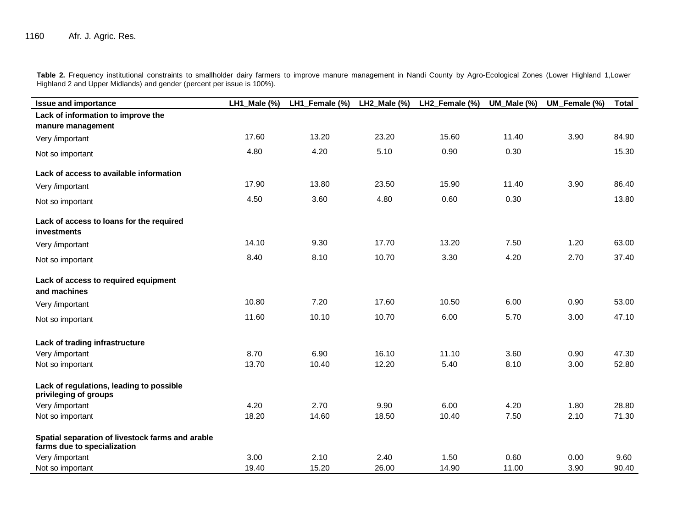**Table 2.** Frequency institutional constraints to smallholder dairy farmers to improve manure management in Nandi County by Agro-Ecological Zones (Lower Highland 1,Lower Highland 2 and Upper Midlands) and gender (percent per issue is 100%).

| <b>Issue and importance</b>                                                     | LH1 Male (%) | LH1_Female (%) | LH2 Male $(\%)$ | LH2_Female (%) | UM_Male (%) | UM Female (%) | <b>Total</b> |
|---------------------------------------------------------------------------------|--------------|----------------|-----------------|----------------|-------------|---------------|--------------|
| Lack of information to improve the                                              |              |                |                 |                |             |               |              |
| manure management                                                               |              |                |                 |                |             |               |              |
| Very /important                                                                 | 17.60        | 13.20          | 23.20           | 15.60          | 11.40       | 3.90          | 84.90        |
| Not so important                                                                | 4.80         | 4.20           | 5.10            | 0.90           | 0.30        |               | 15.30        |
| Lack of access to available information                                         |              |                |                 |                |             |               |              |
| Very /important                                                                 | 17.90        | 13.80          | 23.50           | 15.90          | 11.40       | 3.90          | 86.40        |
| Not so important                                                                | 4.50         | 3.60           | 4.80            | 0.60           | 0.30        |               | 13.80        |
| Lack of access to loans for the required<br><b>investments</b>                  |              |                |                 |                |             |               |              |
| Very /important                                                                 | 14.10        | 9.30           | 17.70           | 13.20          | 7.50        | 1.20          | 63.00        |
| Not so important                                                                | 8.40         | 8.10           | 10.70           | 3.30           | 4.20        | 2.70          | 37.40        |
| Lack of access to required equipment                                            |              |                |                 |                |             |               |              |
| and machines                                                                    |              |                |                 |                |             |               |              |
| Very /important                                                                 | 10.80        | 7.20           | 17.60           | 10.50          | 6.00        | 0.90          | 53.00        |
| Not so important                                                                | 11.60        | 10.10          | 10.70           | 6.00           | 5.70        | 3.00          | 47.10        |
| Lack of trading infrastructure                                                  |              |                |                 |                |             |               |              |
| Very /important                                                                 | 8.70         | 6.90           | 16.10           | 11.10          | 3.60        | 0.90          | 47.30        |
| Not so important                                                                | 13.70        | 10.40          | 12.20           | 5.40           | 8.10        | 3.00          | 52.80        |
| Lack of regulations, leading to possible<br>privileging of groups               |              |                |                 |                |             |               |              |
| Very /important                                                                 | 4.20         | 2.70           | 9.90            | 6.00           | 4.20        | 1.80          | 28.80        |
| Not so important                                                                | 18.20        | 14.60          | 18.50           | 10.40          | 7.50        | 2.10          | 71.30        |
| Spatial separation of livestock farms and arable<br>farms due to specialization |              |                |                 |                |             |               |              |
| Very /important                                                                 | 3.00         | 2.10           | 2.40            | 1.50           | 0.60        | 0.00          | 9.60         |
| Not so important                                                                | 19.40        | 15.20          | 26.00           | 14.90          | 11.00       | 3.90          | 90.40        |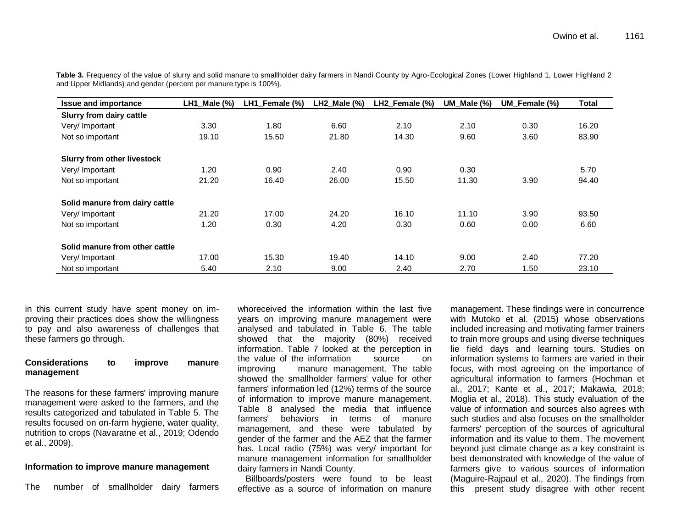| <b>Issue and importance</b>        | $LH1$ Male $(\%)$ | LH1_Female (%) | LH2 Male $(\%)$ | LH2_Female (%) | UM Male $(\%)$ | UM_Female (%) | Total |
|------------------------------------|-------------------|----------------|-----------------|----------------|----------------|---------------|-------|
| Slurry from dairy cattle           |                   |                |                 |                |                |               |       |
| Very/Important                     | 3.30              | 1.80           | 6.60            | 2.10           | 2.10           | 0.30          | 16.20 |
| Not so important                   | 19.10             | 15.50          | 21.80           | 14.30          | 9.60           | 3.60          | 83.90 |
| <b>Slurry from other livestock</b> |                   |                |                 |                |                |               |       |
| Very/ Important                    | 1.20              | 0.90           | 2.40            | 0.90           | 0.30           |               | 5.70  |
| Not so important                   | 21.20             | 16.40          | 26.00           | 15.50          | 11.30          | 3.90          | 94.40 |
| Solid manure from dairy cattle     |                   |                |                 |                |                |               |       |
| Very/ Important                    | 21.20             | 17.00          | 24.20           | 16.10          | 11.10          | 3.90          | 93.50 |
| Not so important                   | 1.20              | 0.30           | 4.20            | 0.30           | 0.60           | 0.00          | 6.60  |
| Solid manure from other cattle     |                   |                |                 |                |                |               |       |
| Very/Important                     | 17.00             | 15.30          | 19.40           | 14.10          | 9.00           | 2.40          | 77.20 |
| Not so important                   | 5.40              | 2.10           | 9.00            | 2.40           | 2.70           | 1.50          | 23.10 |

Table 3. Frequency of the value of slurry and solid manure to smallholder dairy farmers in Nandi County by Agro-Ecological Zones (Lower Highland 1, Lower Highland 2 and Upper Midlands) and gender (percent per manure type is 100%).

in this current study have spent money on improving their practices does show the willingness to pay and also awareness of challenges that these farmers go through.

## **Considerations to improve manure management**

The reasons for these farmers' improving manure management were asked to the farmers, and the results categorized and tabulated in Table 5. The results focused on on-farm hygiene, water quality, nutrition to crops (Navaratne et al., 2019; Odendo et al., 2009).

### **Information to improve manure management**

The number of smallholder dairy farmers

whoreceived the information within the last five years on improving manure management were analysed and tabulated in Table 6. The table showed that the majority (80%) received information. Table 7 looked at the perception in the value of the information source on improving manure management. The table showed the smallholder farmers' value for other farmers' information led (12%) terms of the source of information to improve manure management. Table 8 analysed the media that influence farmers' behaviors in terms of manure management, and these were tabulated by gender of the farmer and the AEZ that the farmer has. Local radio (75%) was very/ important for manure management information for smallholder dairy farmers in Nandi County.

Billboards/posters were found to be least effective as a source of information on manure

management. These findings were in concurrence with Mutoko et al. (2015) whose observations included increasing and motivating farmer trainers to train more groups and using diverse techniques lie field days and learning tours. Studies on information systems to farmers are varied in their focus, with most agreeing on the importance of agricultural information to farmers (Hochman et al., 2017; Kante et al., 2017; Makawia, 2018; Moglia et al., 2018). This study evaluation of the value of information and sources also agrees with such studies and also focuses on the smallholder farmers' perception of the sources of agricultural information and its value to them. The movement beyond just climate change as a key constraint is best demonstrated with knowledge of the value of farmers give to various sources of information (Maguire-Rajpaul et al., 2020). The findings from this present study disagree with other recent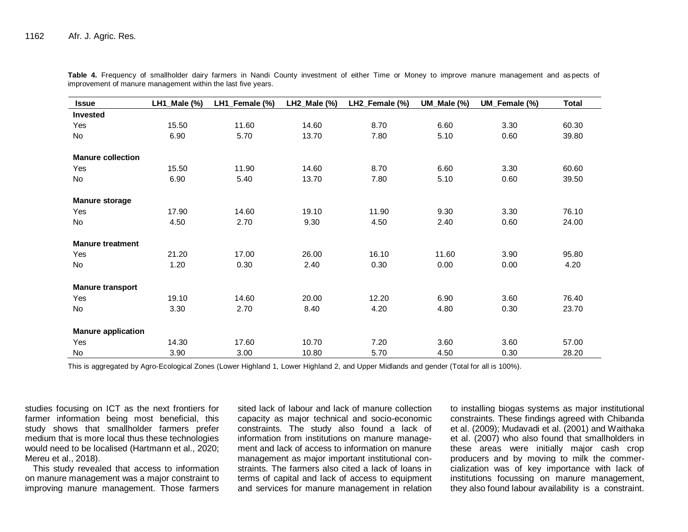| <b>Issue</b>              | LH1_Male (%) | LH1_Female (%) | LH2_Male (%) | LH2_Female (%) | UM_Male (%) | UM_Female (%) | <b>Total</b> |
|---------------------------|--------------|----------------|--------------|----------------|-------------|---------------|--------------|
| Invested                  |              |                |              |                |             |               |              |
| Yes                       | 15.50        | 11.60          | 14.60        | 8.70           | 6.60        | 3.30          | 60.30        |
| No                        | 6.90         | 5.70           | 13.70        | 7.80           | 5.10        | 0.60          | 39.80        |
| <b>Manure collection</b>  |              |                |              |                |             |               |              |
| Yes                       | 15.50        | 11.90          | 14.60        | 8.70           | 6.60        | 3.30          | 60.60        |
| No                        | 6.90         | 5.40           | 13.70        | 7.80           | 5.10        | 0.60          | 39.50        |
| <b>Manure storage</b>     |              |                |              |                |             |               |              |
| Yes                       | 17.90        | 14.60          | 19.10        | 11.90          | 9.30        | 3.30          | 76.10        |
| No                        | 4.50         | 2.70           | 9.30         | 4.50           | 2.40        | 0.60          | 24.00        |
| <b>Manure treatment</b>   |              |                |              |                |             |               |              |
| Yes                       | 21.20        | 17.00          | 26.00        | 16.10          | 11.60       | 3.90          | 95.80        |
| No                        | 1.20         | 0.30           | 2.40         | 0.30           | 0.00        | 0.00          | 4.20         |
| <b>Manure transport</b>   |              |                |              |                |             |               |              |
| Yes                       | 19.10        | 14.60          | 20.00        | 12.20          | 6.90        | 3.60          | 76.40        |
| No                        | 3.30         | 2.70           | 8.40         | 4.20           | 4.80        | 0.30          | 23.70        |
| <b>Manure application</b> |              |                |              |                |             |               |              |
| Yes                       | 14.30        | 17.60          | 10.70        | 7.20           | 3.60        | 3.60          | 57.00        |
| No                        | 3.90         | 3.00           | 10.80        | 5.70           | 4.50        | 0.30          | 28.20        |

Table 4. Frequency of smallholder dairy farmers in Nandi County investment of either Time or Money to improve manure management and aspects of improvement of manure management within the last five years.

This is aggregated by Agro-Ecological Zones (Lower Highland 1, Lower Highland 2, and Upper Midlands and gender (Total for all is 100%).

studies focusing on ICT as the next frontiers for farmer information being most beneficial, this study shows that smallholder farmers prefer medium that is more local thus these technologies would need to be localised (Hartmann et al., 2020; Mereu et al., 2018).

This study revealed that access to information on manure management was a major constraint to improving manure management. Those farmers

sited lack of labour and lack of manure collection capacity as major technical and socio-economic constraints. The study also found a lack of information from institutions on manure management and lack of access to information on manure management as major important institutional constraints. The farmers also cited a lack of loans in terms of capital and lack of access to equipment and services for manure management in relation

to installing biogas systems as major institutional constraints. These findings agreed with Chibanda et al. (2009); Mudavadi et al. (2001) and Waithaka et al. (2007) who also found that smallholders in these areas were initially major cash crop producers and by moving to milk the commercialization was of key importance with lack of institutions focussing on manure management, they also found labour availability is a constraint.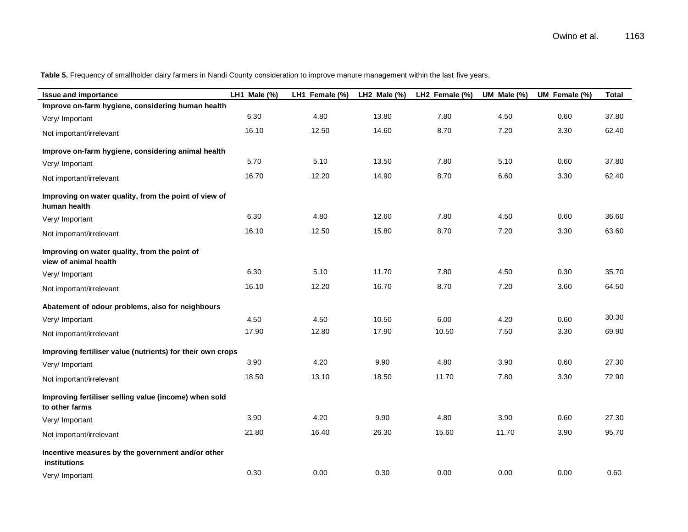| <b>Issue and importance</b>                                             | LH1_Male (%) | LH1_Female (%) | LH2_Male (%) | LH2_Female (%) | UM_Male (%) | UM_Female (%) | <b>Total</b> |
|-------------------------------------------------------------------------|--------------|----------------|--------------|----------------|-------------|---------------|--------------|
| Improve on-farm hygiene, considering human health                       |              |                |              |                |             |               |              |
| Very/ Important                                                         | 6.30         | 4.80           | 13.80        | 7.80           | 4.50        | 0.60          | 37.80        |
| Not important/irrelevant                                                | 16.10        | 12.50          | 14.60        | 8.70           | 7.20        | 3.30          | 62.40        |
| Improve on-farm hygiene, considering animal health                      |              |                |              |                |             |               |              |
| Very/ Important                                                         | 5.70         | 5.10           | 13.50        | 7.80           | 5.10        | 0.60          | 37.80        |
| Not important/irrelevant                                                | 16.70        | 12.20          | 14.90        | 8.70           | 6.60        | 3.30          | 62.40        |
| Improving on water quality, from the point of view of<br>human health   |              |                |              |                |             |               |              |
| Very/ Important                                                         | 6.30         | 4.80           | 12.60        | 7.80           | 4.50        | 0.60          | 36.60        |
| Not important/irrelevant                                                | 16.10        | 12.50          | 15.80        | 8.70           | 7.20        | 3.30          | 63.60        |
| Improving on water quality, from the point of<br>view of animal health  |              |                |              |                |             |               |              |
| Very/ Important                                                         | 6.30         | 5.10           | 11.70        | 7.80           | 4.50        | 0.30          | 35.70        |
| Not important/irrelevant                                                | 16.10        | 12.20          | 16.70        | 8.70           | 7.20        | 3.60          | 64.50        |
| Abatement of odour problems, also for neighbours                        |              |                |              |                |             |               |              |
| Very/ Important                                                         | 4.50         | 4.50           | 10.50        | 6.00           | 4.20        | 0.60          | 30.30        |
| Not important/irrelevant                                                | 17.90        | 12.80          | 17.90        | 10.50          | 7.50        | 3.30          | 69.90        |
| Improving fertiliser value (nutrients) for their own crops              |              |                |              |                |             |               |              |
| Very/ Important                                                         | 3.90         | 4.20           | 9.90         | 4.80           | 3.90        | 0.60          | 27.30        |
| Not important/irrelevant                                                | 18.50        | 13.10          | 18.50        | 11.70          | 7.80        | 3.30          | 72.90        |
| Improving fertiliser selling value (income) when sold<br>to other farms |              |                |              |                |             |               |              |
| Very/ Important                                                         | 3.90         | 4.20           | 9.90         | 4.80           | 3.90        | 0.60          | 27.30        |
| Not important/irrelevant                                                | 21.80        | 16.40          | 26.30        | 15.60          | 11.70       | 3.90          | 95.70        |
| Incentive measures by the government and/or other<br>institutions       |              |                |              |                |             |               |              |
| Very/ Important                                                         | 0.30         | 0.00           | 0.30         | 0.00           | 0.00        | 0.00          | 0.60         |

**Table 5.** Frequency of smallholder dairy farmers in Nandi County consideration to improve manure management within the last five years.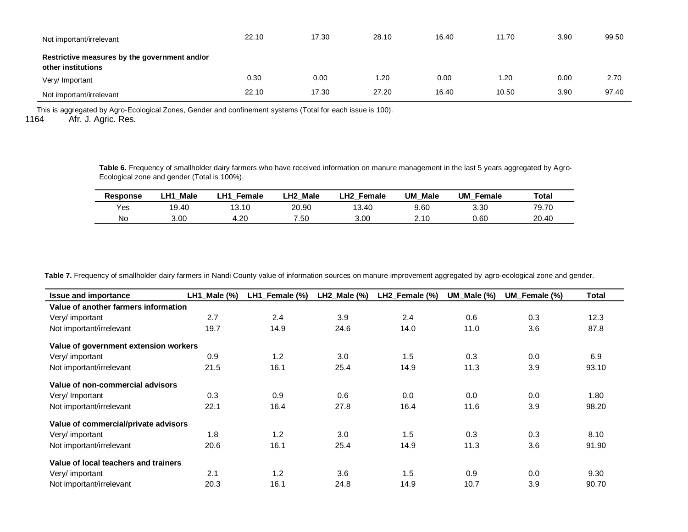| Not important/irrelevant                                            | 22.10 | 17.30 | 28.10 | 16.40 | 11.70 | 3.90 | 99.50 |
|---------------------------------------------------------------------|-------|-------|-------|-------|-------|------|-------|
| Restrictive measures by the government and/or<br>other institutions |       |       |       |       |       |      |       |
| Very/ Important                                                     | 0.30  | 0.00  | 1.20  | 0.00  | 1.20  | 0.00 | 2.70  |
| Not important/irrelevant                                            | 22.10 | 17.30 | 27.20 | 16.40 | 10.50 | 3.90 | 97.40 |

This is aggregated by Agro-Ecological Zones, Gender and confinement systems (Total for each issue is 100).<br>1164 Afr. J. Agric. Res.

Afr. J. Agric. Res.

Table 6. Frequency of smallholder dairy farmers who have received information on manure management in the last 5 years aggregated by Agro-Ecological zone and gender (Total is 100%).

| Response | <b>Male</b><br>LH1 | ∟H1<br>Female | Male<br>LH <sub>2</sub> | ∟H2 l<br>Female | UM<br>Male | UM<br>Female | <b>Total</b> |
|----------|--------------------|---------------|-------------------------|-----------------|------------|--------------|--------------|
| Yes      | 19.40              | 13.10         | 20.90                   | 3.40            | 9.60       | 3.30         | 79.70        |
| No       | 3.00               | 4.20          | .50                     | 3.00            | 2.10       | 0.60         | 20.40        |

Table 7. Frequency of smallholder dairy farmers in Nandi County value of information sources on manure improvement aggregated by agro-ecological zone and gender.

| <b>Issue and importance</b>           | LH1_Male (%) | LH1_Female (%) | LH2_Male (%) | LH2_Female (%) | UM_Male (%) | UM_Female (%) | Total |
|---------------------------------------|--------------|----------------|--------------|----------------|-------------|---------------|-------|
| Value of another farmers information  |              |                |              |                |             |               |       |
| Very/ important                       | 2.7          | 2.4            | 3.9          | 2.4            | 0.6         | 0.3           | 12.3  |
| Not important/irrelevant              | 19.7         | 14.9           | 24.6         | 14.0           | 11.0        | 3.6           | 87.8  |
| Value of government extension workers |              |                |              |                |             |               |       |
| Very/ important                       | 0.9          | 1.2            | 3.0          | 1.5            | 0.3         | 0.0           | 6.9   |
| Not important/irrelevant              | 21.5         | 16.1           | 25.4         | 14.9           | 11.3        | 3.9           | 93.10 |
| Value of non-commercial advisors      |              |                |              |                |             |               |       |
| Very/ Important                       | 0.3          | 0.9            | 0.6          | 0.0            | 0.0         | 0.0           | 1.80  |
| Not important/irrelevant              | 22.1         | 16.4           | 27.8         | 16.4           | 11.6        | 3.9           | 98.20 |
| Value of commercial/private advisors  |              |                |              |                |             |               |       |
| Very/ important                       | 1.8          | 1.2            | 3.0          | 1.5            | 0.3         | 0.3           | 8.10  |
| Not important/irrelevant              | 20.6         | 16.1           | 25.4         | 14.9           | 11.3        | 3.6           | 91.90 |
| Value of local teachers and trainers  |              |                |              |                |             |               |       |
| Very/ important                       | 2.1          | 1.2            | 3.6          | 1.5            | 0.9         | 0.0           | 9.30  |
| Not important/irrelevant              | 20.3         | 16.1           | 24.8         | 14.9           | 10.7        | 3.9           | 90.70 |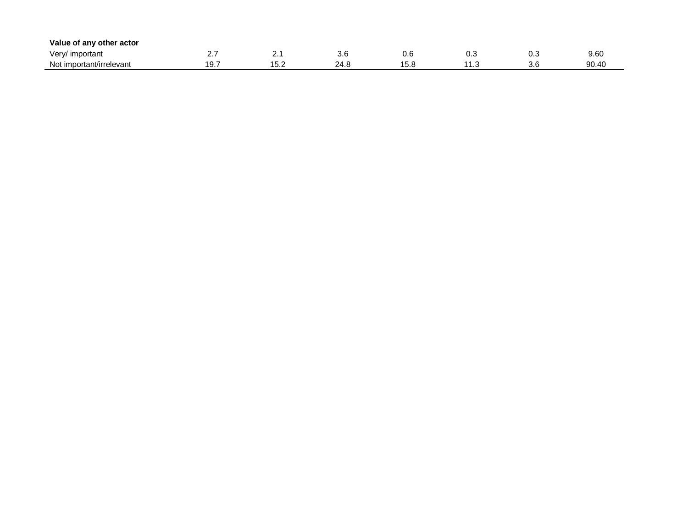| Value of any other actor |     |          |                |            |     |     |       |
|--------------------------|-----|----------|----------------|------------|-----|-----|-------|
| Very/ important          | . . | <u>.</u> | v.u            | v.u        | v.J | ∪.⊾ | 9.60  |
| Not important/irrelevant | .   | ے. ب     | 24<br><u>.</u> | ∽<br>∣ J.U | . ت | J.J | 90.40 |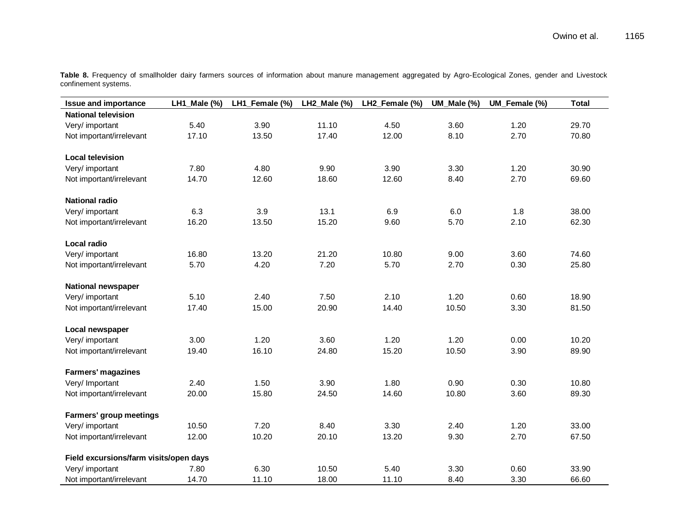|                      | Table 8. Frequency of smallholder dairy farmers sources of information about manure management aggregated by Agro-Ecological Zones, gender and Livestock |  |  |  |  |  |  |  |
|----------------------|----------------------------------------------------------------------------------------------------------------------------------------------------------|--|--|--|--|--|--|--|
| confinement systems. |                                                                                                                                                          |  |  |  |  |  |  |  |

| <b>Issue and importance</b>            | LH1_Male (%) | LH1_Female (%) | LH2_Male (%) | LH2_Female (%) | UM_Male (%) | UM_Female (%) | <b>Total</b> |
|----------------------------------------|--------------|----------------|--------------|----------------|-------------|---------------|--------------|
| <b>National television</b>             |              |                |              |                |             |               |              |
| Very/ important                        | 5.40         | 3.90           | 11.10        | 4.50           | 3.60        | 1.20          | 29.70        |
| Not important/irrelevant               | 17.10        | 13.50          | 17.40        | 12.00          | 8.10        | 2.70          | 70.80        |
|                                        |              |                |              |                |             |               |              |
| <b>Local television</b>                |              |                |              |                |             |               |              |
| Very/ important                        | 7.80         | 4.80           | 9.90         | 3.90           | 3.30        | 1.20          | 30.90        |
| Not important/irrelevant               | 14.70        | 12.60          | 18.60        | 12.60          | 8.40        | 2.70          | 69.60        |
| <b>National radio</b>                  |              |                |              |                |             |               |              |
| Very/ important                        | 6.3          | 3.9            | 13.1         | 6.9            | 6.0         | 1.8           | 38.00        |
| Not important/irrelevant               | 16.20        | 13.50          | 15.20        | 9.60           | 5.70        | 2.10          | 62.30        |
|                                        |              |                |              |                |             |               |              |
| Local radio                            |              |                |              |                |             |               |              |
| Very/ important                        | 16.80        | 13.20          | 21.20        | 10.80          | 9.00        | 3.60          | 74.60        |
| Not important/irrelevant               | 5.70         | 4.20           | 7.20         | 5.70           | 2.70        | 0.30          | 25.80        |
| <b>National newspaper</b>              |              |                |              |                |             |               |              |
| Very/ important                        | 5.10         | 2.40           | 7.50         | 2.10           | 1.20        | 0.60          | 18.90        |
| Not important/irrelevant               | 17.40        | 15.00          | 20.90        | 14.40          | 10.50       | 3.30          | 81.50        |
|                                        |              |                |              |                |             |               |              |
| Local newspaper                        |              |                |              |                |             |               |              |
| Very/ important                        | 3.00         | 1.20           | 3.60         | 1.20           | 1.20        | 0.00          | 10.20        |
| Not important/irrelevant               | 19.40        | 16.10          | 24.80        | 15.20          | 10.50       | 3.90          | 89.90        |
| <b>Farmers' magazines</b>              |              |                |              |                |             |               |              |
| Very/ Important                        | 2.40         | 1.50           | 3.90         | 1.80           | 0.90        | 0.30          | 10.80        |
| Not important/irrelevant               | 20.00        | 15.80          | 24.50        | 14.60          | 10.80       | 3.60          | 89.30        |
|                                        |              |                |              |                |             |               |              |
| Farmers' group meetings                |              |                |              |                |             |               |              |
| Very/ important                        | 10.50        | 7.20           | 8.40         | 3.30           | 2.40        | 1.20          | 33.00        |
| Not important/irrelevant               | 12.00        | 10.20          | 20.10        | 13.20          | 9.30        | 2.70          | 67.50        |
| Field excursions/farm visits/open days |              |                |              |                |             |               |              |
| Very/ important                        | 7.80         | 6.30           | 10.50        | 5.40           | 3.30        | 0.60          | 33.90        |
|                                        |              |                |              |                |             |               |              |
| Not important/irrelevant               | 14.70        | 11.10          | 18.00        | 11.10          | 8.40        | 3.30          | 66.60        |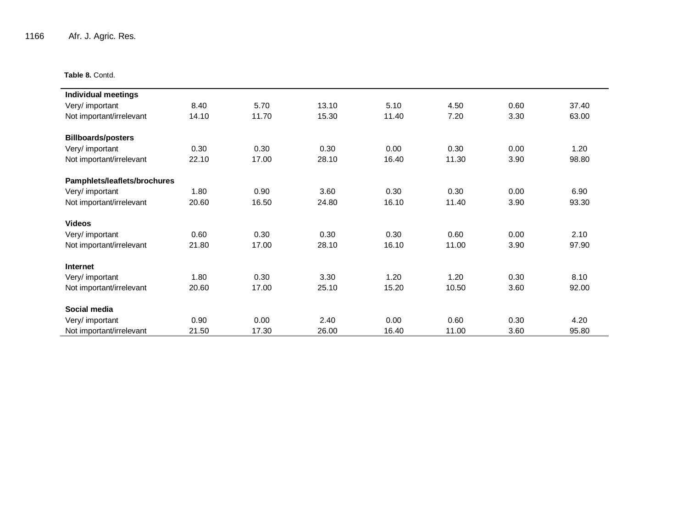1166 Afr. J. Agric. Res.

**Table 8.** Contd.

| <b>Individual meetings</b>   |       |       |       |       |       |      |       |
|------------------------------|-------|-------|-------|-------|-------|------|-------|
| Very/ important              | 8.40  | 5.70  | 13.10 | 5.10  | 4.50  | 0.60 | 37.40 |
| Not important/irrelevant     | 14.10 | 11.70 | 15.30 | 11.40 | 7.20  | 3.30 | 63.00 |
|                              |       |       |       |       |       |      |       |
| <b>Billboards/posters</b>    |       |       |       |       |       |      |       |
| Very/ important              | 0.30  | 0.30  | 0.30  | 0.00  | 0.30  | 0.00 | 1.20  |
| Not important/irrelevant     | 22.10 | 17.00 | 28.10 | 16.40 | 11.30 | 3.90 | 98.80 |
| Pamphlets/leaflets/brochures |       |       |       |       |       |      |       |
| Very/ important              | 1.80  | 0.90  | 3.60  | 0.30  | 0.30  | 0.00 | 6.90  |
| Not important/irrelevant     | 20.60 | 16.50 | 24.80 | 16.10 | 11.40 | 3.90 | 93.30 |
| <b>Videos</b>                |       |       |       |       |       |      |       |
|                              |       |       |       |       |       |      |       |
| Very/ important              | 0.60  | 0.30  | 0.30  | 0.30  | 0.60  | 0.00 | 2.10  |
| Not important/irrelevant     | 21.80 | 17.00 | 28.10 | 16.10 | 11.00 | 3.90 | 97.90 |
| Internet                     |       |       |       |       |       |      |       |
| Very/ important              | 1.80  | 0.30  | 3.30  | 1.20  | 1.20  | 0.30 | 8.10  |
| Not important/irrelevant     | 20.60 | 17.00 | 25.10 | 15.20 | 10.50 | 3.60 | 92.00 |
| Social media                 |       |       |       |       |       |      |       |
| Very/ important              | 0.90  | 0.00  | 2.40  | 0.00  | 0.60  | 0.30 | 4.20  |
| Not important/irrelevant     | 21.50 | 17.30 | 26.00 | 16.40 | 11.00 | 3.60 | 95.80 |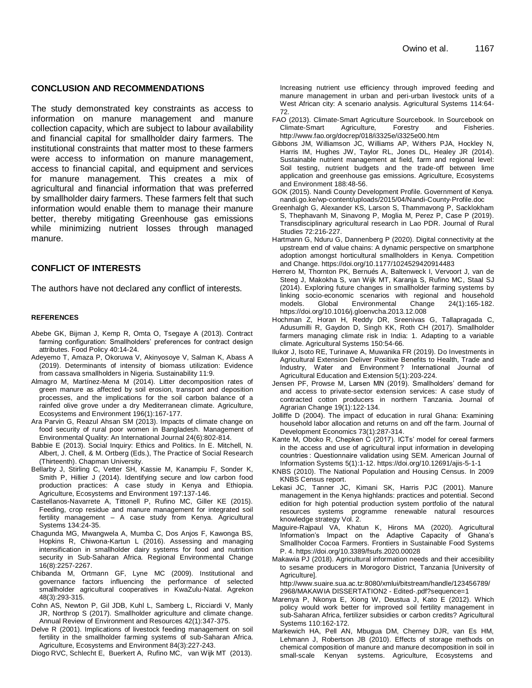#### **CONCLUSION AND RECOMMENDATIONS**

The study demonstrated key constraints as access to information on manure management and manure collection capacity, which are subject to labour availability and financial capital for smallholder dairy farmers. The institutional constraints that matter most to these farmers were access to information on manure management, access to financial capital, and equipment and services for manure management. This creates a mix of agricultural and financial information that was preferred by smallholder dairy farmers. These farmers felt that such information would enable them to manage their manure better, thereby mitigating Greenhouse gas emissions while minimizing nutrient losses through managed manure.

#### **CONFLICT OF INTERESTS**

The authors have not declared any conflict of interests.

#### **REFERENCES**

- Abebe GK, Bijman J, Kemp R, Omta O, Tsegaye A (2013). Contract farming configuration: Smallholders' preferences for contract design attributes. Food Policy 40:14-24.
- Adeyemo T, Amaza P, Okoruwa V, Akinyosoye V, Salman K, Abass A (2019). Determinants of intensity of biomass utilization: Evidence from cassava smallholders in Nigeria. Sustainability 11:9.
- Almagro M, Martínez-Mena M (2014). Litter decomposition rates of green manure as affected by soil erosion, transport and deposition processes, and the implications for the soil carbon balance of a rainfed olive grove under a dry Mediterranean climate. Agriculture, Ecosystems and Environment 196(1):167-177.
- Ara Parvin G, Reazul Ahsan SM (2013). Impacts of climate change on food security of rural poor women in Bangladesh. Management of Environmental Quality: An International Journal 24(6):802-814.
- Babbie E (2013). Social Inquiry: Ethics and Politics. In E. Mitchell, N. Albert, J. Chell, & M. Ortberg (Eds.), The Practice of Social Research (Thirteenth). Chapman University.
- Bellarby J, Stirling C, Vetter SH, Kassie M, Kanampiu F, Sonder K, Smith P, Hillier J (2014). Identifying secure and low carbon food production practices: A case study in Kenya and Ethiopia. Agriculture, Ecosystems and Environment 197:137-146.
- Castellanos-Navarrete A, Tittonell P, Rufino MC, Giller KE (2015). Feeding, crop residue and manure management for integrated soil fertility management – A case study from Kenya. Agricultural Systems 134:24-35.
- Chagunda MG, Mwangwela A, Mumba C, Dos Anjos F, Kawonga BS, Hopkins R, Chiwona-Kartun L (2016). Assessing and managing intensification in smallholder dairy systems for food and nutrition security in Sub-Saharan Africa. Regional Environmental Change 16(8):2257-2267.
- Chibanda M, Ortmann GF, Lyne MC (2009). Institutional and governance factors influencing the performance of selected smallholder agricultural cooperatives in KwaZulu-Natal. Agrekon 48(3):293-315.
- Cohn AS, Newton P, Gil JDB, Kuhl L, Samberg L, Ricciardi V, Manly JR, Northrop S (2017). Smallholder agriculture and climate change. Annual Review of Environment and Resources 42(1):347-375.
- Delve R (2001). Implications of livestock feeding management on soil fertility in the smallholder farming systems of sub-Saharan Africa. Agriculture, Ecosystems and Environment 84(3):227-243.

Diogo RVC, Schlecht E, Buerkert A, Rufino MC, van Wijk MT (2013).

Increasing nutrient use efficiency through improved feeding and manure management in urban and peri-urban livestock units of a West African city: A scenario analysis. Agricultural Systems 114:64- 72.

- FAO (2013). Climate-Smart Agriculture Sourcebook. In Sourcebook on Climate-Smart Agriculture, Forestry and Fisheries. http://www.fao.org/docrep/018/i3325e/i3325e00.htm
- Gibbons JM, Williamson JC, Williams AP, Withers PJA, Hockley N, Harris IM, Hughes JW, Taylor RL, Jones DL, Healey JR (2014). Sustainable nutrient management at field, farm and regional level: Soil testing, nutrient budgets and the trade-off between lime application and greenhouse gas emissions. Agriculture, Ecosystems and Environment 188:48-56.
- GOK (2015). Nandi County Development Profile. Government of Kenya. nandi.go.ke/wp-content/uploads/2015/04/Nandi-County-Profile.doc
- Greenhalgh G, Alexander KS, Larson S, Thammavong P, Sacklokham S, Thephavanh M, Sinavong P, Moglia M, Perez P, Case P (2019). Transdisciplinary agricultural research in Lao PDR. Journal of Rural Studies 72:216-227.
- Hartmann G, Nduru G, Dannenberg P (2020). Digital connectivity at the upstream end of value chains: A dynamic perspective on smartphone adoption amongst horticultural smallholders in Kenya. Competition and Change. https://doi.org/10.1177/1024529420914483
- Herrero M, Thornton PK, Bernués A, Baltenweck I, Vervoort J, van de Steeg J, Makokha S, van Wijk MT, Karanja S, Rufino MC, Staal SJ (2014). Exploring future changes in smallholder farming systems by linking socio-economic scenarios with regional and household models. Global Environmental Change 24(1):165-182. https://doi.org/10.1016/j.gloenvcha.2013.12.008
- Hochman Z, Horan H, Reddy DR, Sreenivas G, Tallapragada C, Adusumilli R, Gaydon D, Singh KK, Roth CH (2017). Smallholder farmers managing climate risk in India: 1. Adapting to a variable climate. Agricultural Systems 150:54-66.
- Ilukor J, Isoto RE, Turinawe A, Muwanika FR (2019). Do Investments in Agricultural Extension Deliver Positive Benefits to Health, Trade and Industry, Water and Environment ? International Journal of Agricultural Education and Extension 5(1):203-224.
- Jensen PF, Prowse M, Larsen MN (2019). Smallholders' demand for and access to private-sector extension services: A case study of contracted cotton producers in northern Tanzania. Journal of Agrarian Change 19(1):122-134.
- Jolliffe D (2004). The impact of education in rural Ghana: Examining household labor allocation and returns on and off the farm. Journal of Development Economics 73(1):287-314.
- Kante M, Oboko R, Chepken C (2017). ICTs' model for cereal farmers in the access and use of agricultural input information in developing countries : Questionnaire validation using SEM. American Journal of Information Systems 5(1):1-12. https://doi.org/10.12691/ajis-5-1-1
- KNBS (2010). The National Population and Housing Census. In 2009 KNBS Census report.
- Lekasi JC, Tanner JC, Kimani SK, Harris PJC (2001). Manure management in the Kenya highlands: practices and potential. Second edition for high potential production system portfolio of the natural resources systems programme renewable natural resources knowledge strategy Vol. 2.
- Maguire-Rajpaul VA, Khatun K, Hirons MA (2020). Agricultural Information's Impact on the Adaptive Capacity of Ghana's Smallholder Cocoa Farmers. Frontiers in Sustainable Food Systems P. 4. https://doi.org/10.3389/fsufs.2020.00028
- Makawia PJ (2018). Agricultural information needs and their accesibility to sesame producers in Morogoro District, Tanzania [University of Agriculture].

http://www.suaire.sua.ac.tz:8080/xmlui/bitstream/handle/123456789/ 2968/MAKAWIA DISSERTATION2 - Edited-.pdf?sequence=1

- Marenya P, Nkonya E, Xiong W, Deustua J, Kato E (2012). Which policy would work better for improved soil fertility management in sub-Saharan Africa, fertilizer subsidies or carbon credits? Agricultural Systems 110:162-172.
- Markewich HA, Pell AN, Mbugua DM, Cherney DJR, van Es HM, Lehmann J, Robertson JB (2010). Effects of storage methods on chemical composition of manure and manure decomposition in soil in small-scale Kenyan systems. Agriculture, Ecosystems and